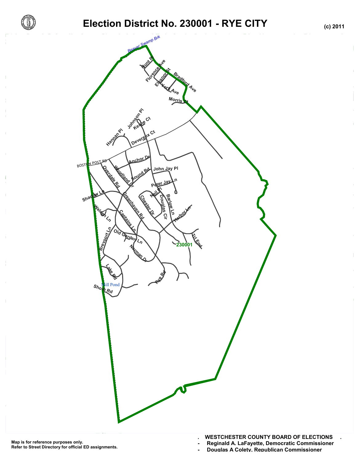

# **Election District No. 230001 - RYE CITY (c) 2011**



- **Reginald A. LaFayette, Democratic Commissioner -**
- Douglas A Colety, Republican Commissioner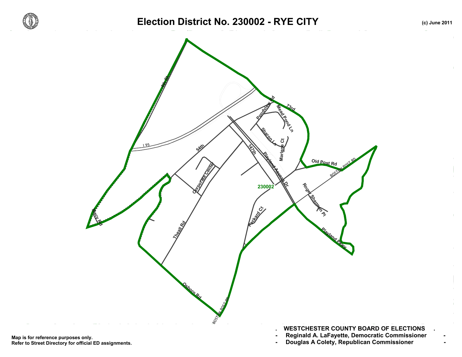



Map is for reference purposes only. Reginald A. LaFayette, Democratic Commissioner<br>Refer to Street Directory for official ED assignments. Douglas A Colety, Republican Com **Refer to Street Directory for official ED assignments.**

- **. WESTCHESTER COUNTY BOARD OF ELECTIONS .**
- 
-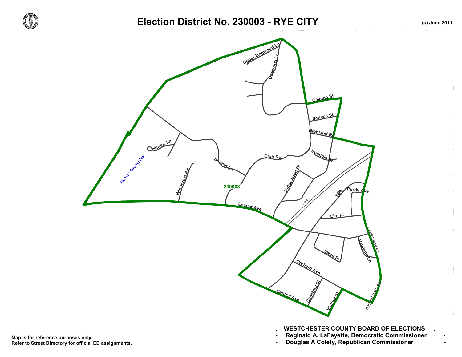

#### Election District No. 230003 - RYE CITY **(c)** June 2011



Map is for reference purposes only. Reginald A. LaFayette, Democratic Commissioner<br>Refer to Street Directory for official ED assignments. Douglas A Colety, Republican Com **Refer to Street Directory for official ED assignments.**

- 
-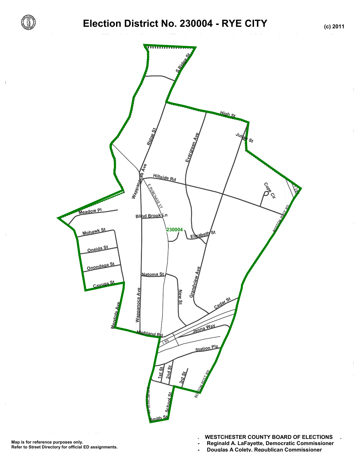

## **Election District No. 230004 - RYE CITY (c) 2011**



- **Reginald A. LaFayette, Democratic Commissioner -**
- **Douglas A Colety, Republican Commissioner -**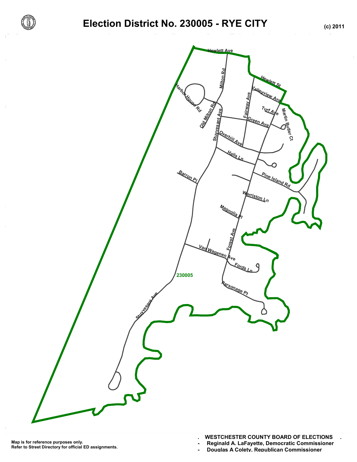

## **Election District No. 230005 - RYE CITY (c) 2011**



**. WESTCHESTER COUNTY BOARD OF ELECTIONS .**

**- Reginald A. LaFayette, Democratic Commissioner -**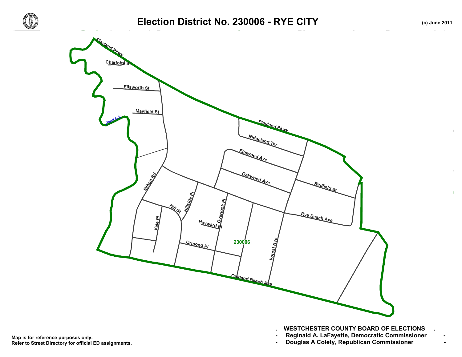



Map is for reference purposes only. Reginald A. LaFayette, Democratic Commissioner<br>Refer to Street Directory for official ED assignments. Douglas A Colety, Republican Com **Refer to Street Directory for official ED assignments.**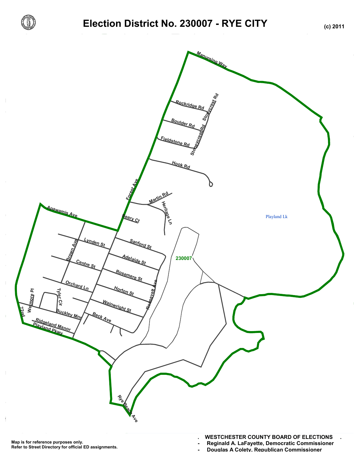

## **Election District No. 230007 - RYE CITY (c) 2011**



**. WESTCHESTER COUNTY BOARD OF ELECTIONS .**

**- Reginald A. LaFayette, Democratic Commissioner -**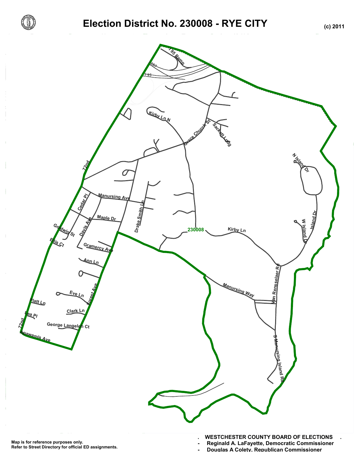

## **Election District No. 230008 - RYE CITY (c) 2011**



**. WESTCHESTER COUNTY BOARD OF ELECTIONS . - Reginald A. LaFayette, Democratic Commissioner -**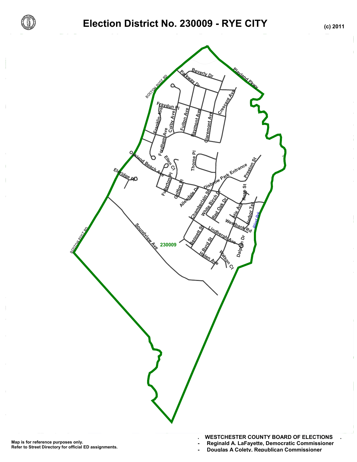

## **Election District No. 230009 - RYE CITY (c) 2011**



#### **. WESTCHESTER COUNTY BOARD OF ELECTIONS .**

**- Reginald A. LaFayette, Democratic Commissioner -**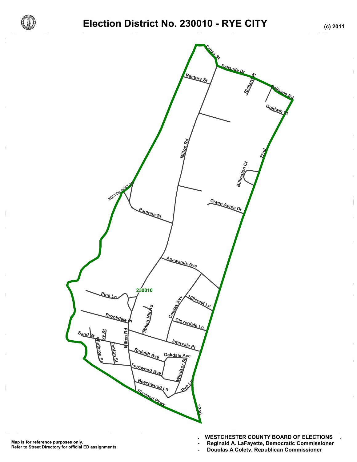

## **Election District No. 230010 - RYE CITY (c) 2011**



- **Reginald A. LaFayette, Democratic Commissioner -**
- **Douglas A Colety, Republican Commissioner -**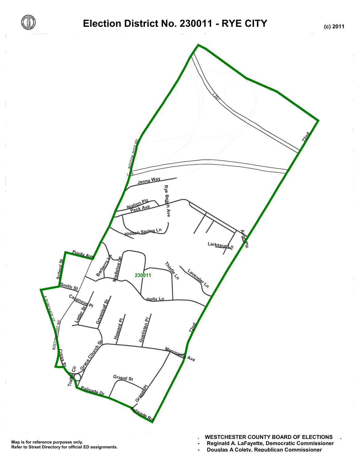

# **Election District No. 230011 - RYE CITY (c) 2011**



**<sup>-</sup> Reginald A. LaFayette, Democratic Commissioner -**

<sup>-</sup> Douglas A Colety, Republican Commissioner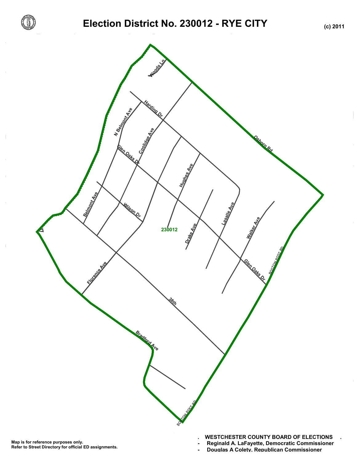



- **Reginald A. LaFayette, Democratic Commissioner -**
- Douglas A Colety, Republican Commissioner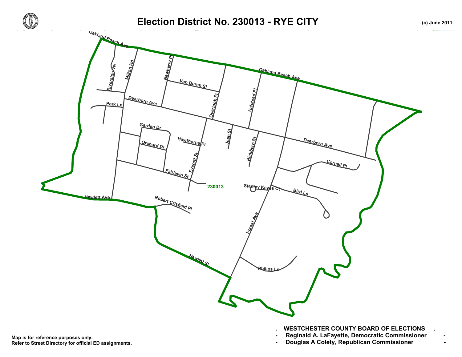



Map is for reference purposes only. Reginald A. LaFayette, Democratic Commissioner<br>Refer to Street Directory for official ED assignments. Douglas A Colety, Republican Com **Refer to Street Directory for official ED assignments.**

- 
-